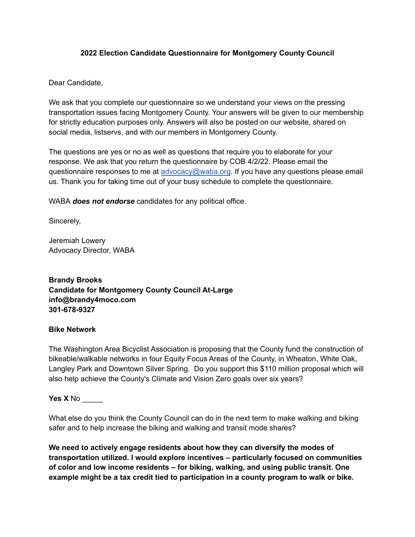### **2022 Election Candidate Questionnaire for Montgomery County Council**

Dear Candidate,

We ask that you complete our questionnaire so we understand your views on the pressing transportation issues facing Montgomery County. Your answers will be given to our membership for strictly education purposes only. Answers will also be posted on our website, shared on social media, listservs, and with our members in Montgomery County.

The questions are yes or no as well as questions that require you to elaborate for your response. We ask that you return the questionnaire by COB 4/2/22. Please email the questionnaire responses to me at [advocacy@waba.org](mailto:advocacy@waba.org). If you have any questions please email us. Thank you for taking time out of your busy schedule to complete the questionnaire.

WABA *does not endorse* candidates for any political office.

Sincerely,

Jeremiah Lowery Advocacy Director, WABA

**Brandy Brooks Candidate for Montgomery County Council At-Large info@brandy4moco.com 301-678-9327**

#### **Bike Network**

The Washington Area Bicyclist Association is proposing that the County fund the construction of bikeable/walkable networks in four Equity Focus Areas of the County, in Wheaton, White Oak, Langley Park and Downtown Silver Spring. Do you support this \$110 million proposal which will also help achieve the County's Climate and Vision Zero goals over six years?

#### **Yes X** No \_\_\_\_\_

What else do you think the County Council can do in the next term to make walking and biking safer and to help increase the biking and walking and transit mode shares?

**We need to actively engage residents about how they can diversify the modes of transportation utilized. I would explore incentives – particularly focused on communities of color and low income residents – for biking, walking, and using public transit. One example might be a tax credit tied to participation in a county program to walk or bike.**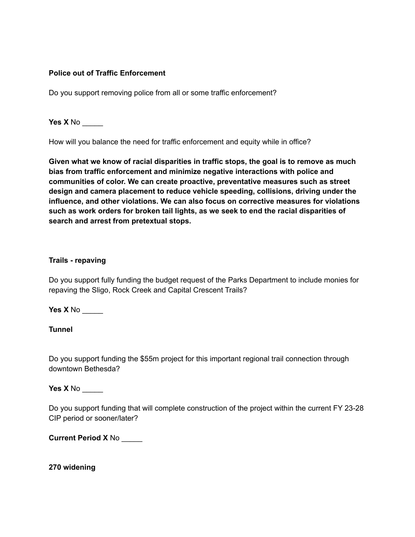## **Police out of Traffic Enforcement**

Do you support removing police from all or some traffic enforcement?

**Yes X** No \_\_\_\_\_

How will you balance the need for traffic enforcement and equity while in office?

**Given what we know of racial disparities in traffic stops, the goal is to remove as much bias from traffic enforcement and minimize negative interactions with police and communities of color. We can create proactive, preventative measures such as street design and camera placement to reduce vehicle speeding, collisions, driving under the influence, and other violations. We can also focus on corrective measures for violations such as work orders for broken tail lights, as we seek to end the racial disparities of search and arrest from pretextual stops.**

#### **Trails - repaving**

Do you support fully funding the budget request of the Parks Department to include monies for repaving the Sligo, Rock Creek and Capital Crescent Trails?

**Yes X** No \_\_\_\_\_

**Tunnel**

Do you support funding the \$55m project for this important regional trail connection through downtown Bethesda?

**Yes X** No \_\_\_\_\_

Do you support funding that will complete construction of the project within the current FY 23-28 CIP period or sooner/later?

**Current Period X** No \_\_\_\_\_

**270 widening**